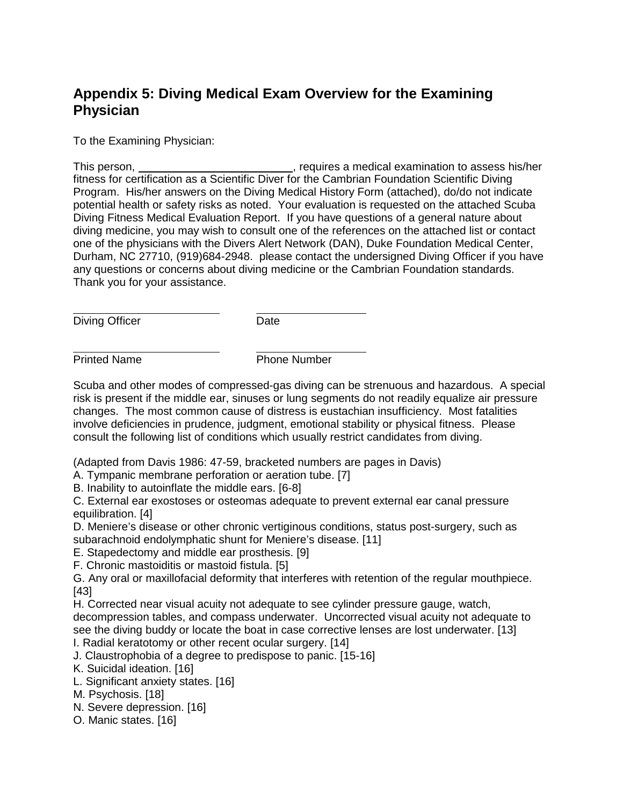# **Appendix 5: Diving Medical Exam Overview for the Examining Physician**

To the Examining Physician:

This person, \_\_\_\_\_\_\_\_\_\_\_\_\_\_\_\_\_\_\_\_\_\_\_\_\_\_\_, requires a medical examination to assess his/her fitness for certification as a Scientific Diver for the Cambrian Foundation Scientific Diving Program. His/her answers on the Diving Medical History Form (attached), do/do not indicate potential health or safety risks as noted. Your evaluation is requested on the attached Scuba Diving Fitness Medical Evaluation Report. If you have questions of a general nature about diving medicine, you may wish to consult one of the references on the attached list or contact one of the physicians with the Divers Alert Network (DAN), Duke Foundation Medical Center, Durham, NC 27710, (919)684-2948. please contact the undersigned Diving Officer if you have any questions or concerns about diving medicine or the Cambrian Foundation standards. Thank you for your assistance.

Diving Officer Date

 $\overline{a}$ 

 $\overline{a}$ 

Printed Name **Phone Number** 

Scuba and other modes of compressed-gas diving can be strenuous and hazardous. A special risk is present if the middle ear, sinuses or lung segments do not readily equalize air pressure changes. The most common cause of distress is eustachian insufficiency. Most fatalities involve deficiencies in prudence, judgment, emotional stability or physical fitness. Please consult the following list of conditions which usually restrict candidates from diving.

(Adapted from Davis 1986: 47-59, bracketed numbers are pages in Davis)

A. Tympanic membrane perforation or aeration tube. [7]

B. Inability to autoinflate the middle ears. [6-8]

C. External ear exostoses or osteomas adequate to prevent external ear canal pressure equilibration. [4]

D. Meniere's disease or other chronic vertiginous conditions, status post-surgery, such as subarachnoid endolymphatic shunt for Meniere's disease. [11]

E. Stapedectomy and middle ear prosthesis. [9]

F. Chronic mastoiditis or mastoid fistula. [5]

G. Any oral or maxillofacial deformity that interferes with retention of the regular mouthpiece. [43]

H. Corrected near visual acuity not adequate to see cylinder pressure gauge, watch, decompression tables, and compass underwater. Uncorrected visual acuity not adequate to see the diving buddy or locate the boat in case corrective lenses are lost underwater. [13]

I. Radial keratotomy or other recent ocular surgery. [14]

J. Claustrophobia of a degree to predispose to panic. [15-16]

K. Suicidal ideation. [16]

L. Significant anxiety states. [16]

M. Psychosis. [18]

N. Severe depression. [16]

O. Manic states. [16]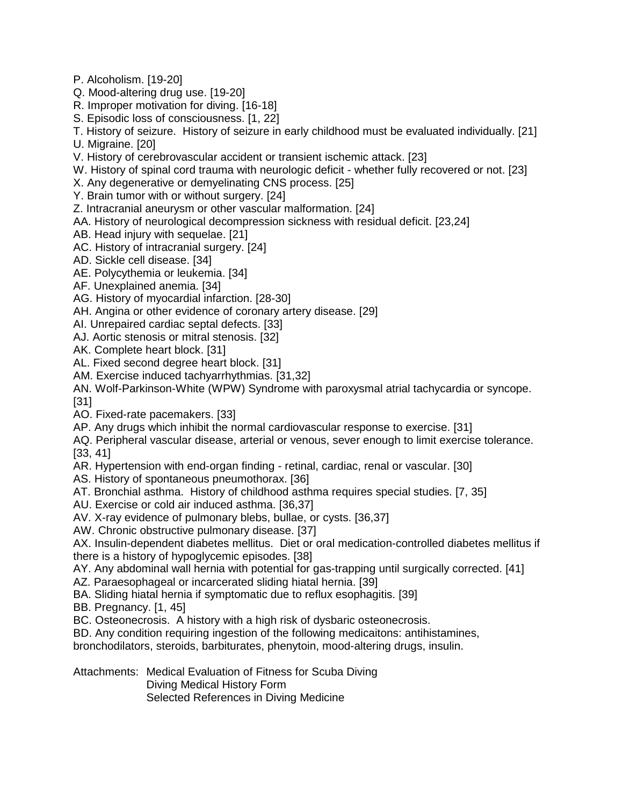- P. Alcoholism. [19-20]
- Q. Mood-altering drug use. [19-20]
- R. Improper motivation for diving. [16-18]
- S. Episodic loss of consciousness. [1, 22]
- T. History of seizure. History of seizure in early childhood must be evaluated individually. [21] U. Migraine. [20]
- V. History of cerebrovascular accident or transient ischemic attack. [23]
- W. History of spinal cord trauma with neurologic deficit whether fully recovered or not. [23]
- X. Any degenerative or demyelinating CNS process. [25]
- Y. Brain tumor with or without surgery. [24]
- Z. Intracranial aneurysm or other vascular malformation. [24]
- AA. History of neurological decompression sickness with residual deficit. [23,24]
- AB. Head injury with sequelae. [21]
- AC. History of intracranial surgery. [24]
- AD. Sickle cell disease. [34]
- AE. Polycythemia or leukemia. [34]
- AF. Unexplained anemia. [34]
- AG. History of myocardial infarction. [28-30]
- AH. Angina or other evidence of coronary artery disease. [29]
- AI. Unrepaired cardiac septal defects. [33]
- AJ. Aortic stenosis or mitral stenosis. [32]
- AK. Complete heart block. [31]
- AL. Fixed second degree heart block. [31]
- AM. Exercise induced tachyarrhythmias. [31,32]
- AN. Wolf-Parkinson-White (WPW) Syndrome with paroxysmal atrial tachycardia or syncope. [31]
- AO. Fixed-rate pacemakers. [33]
- AP. Any drugs which inhibit the normal cardiovascular response to exercise. [31]
- AQ. Peripheral vascular disease, arterial or venous, sever enough to limit exercise tolerance. [33, 41]
- AR. Hypertension with end-organ finding retinal, cardiac, renal or vascular. [30]
- AS. History of spontaneous pneumothorax. [36]
- AT. Bronchial asthma. History of childhood asthma requires special studies. [7, 35]
- AU. Exercise or cold air induced asthma. [36,37]
- AV. X-ray evidence of pulmonary blebs, bullae, or cysts. [36,37]
- AW. Chronic obstructive pulmonary disease. [37]
- AX. Insulin-dependent diabetes mellitus. Diet or oral medication-controlled diabetes mellitus if there is a history of hypoglycemic episodes. [38]
- AY. Any abdominal wall hernia with potential for gas-trapping until surgically corrected. [41]
- AZ. Paraesophageal or incarcerated sliding hiatal hernia. [39]
- BA. Sliding hiatal hernia if symptomatic due to reflux esophagitis. [39]
- BB. Pregnancy. [1, 45]
- BC. Osteonecrosis. A history with a high risk of dysbaric osteonecrosis.
- BD. Any condition requiring ingestion of the following medicaitons: antihistamines,
- bronchodilators, steroids, barbiturates, phenytoin, mood-altering drugs, insulin.
- Attachments: Medical Evaluation of Fitness for Scuba Diving Diving Medical History Form Selected References in Diving Medicine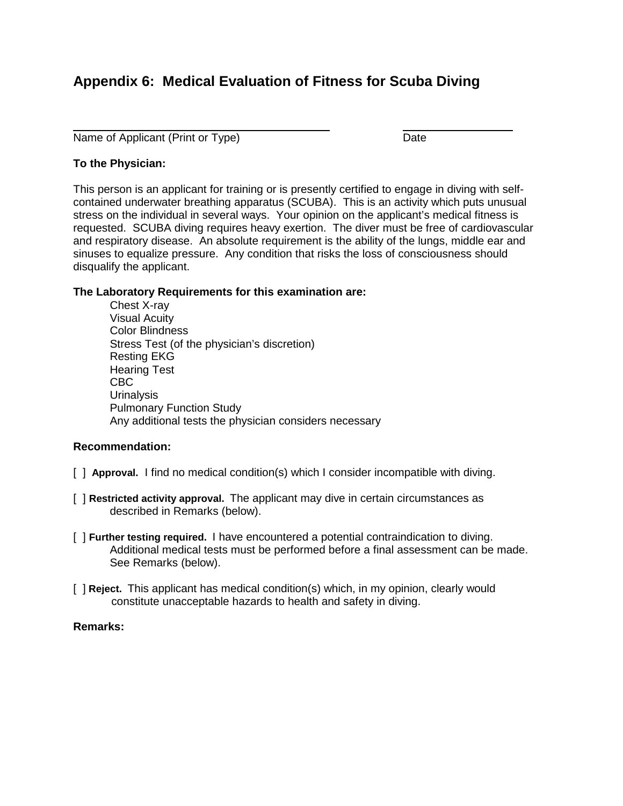## **Appendix 6: Medical Evaluation of Fitness for Scuba Diving**

Name of Applicant (Print or Type) Date

#### **To the Physician:**

 $\overline{a}$ 

This person is an applicant for training or is presently certified to engage in diving with selfcontained underwater breathing apparatus (SCUBA). This is an activity which puts unusual stress on the individual in several ways. Your opinion on the applicant's medical fitness is requested. SCUBA diving requires heavy exertion. The diver must be free of cardiovascular and respiratory disease. An absolute requirement is the ability of the lungs, middle ear and sinuses to equalize pressure. Any condition that risks the loss of consciousness should disqualify the applicant.

#### **The Laboratory Requirements for this examination are:**

Chest X-ray Visual Acuity Color Blindness Stress Test (of the physician's discretion) Resting EKG Hearing Test CBC **Urinalysis** Pulmonary Function Study Any additional tests the physician considers necessary

#### **Recommendation:**

- [ ] **Approval.** I find no medical condition(s) which I consider incompatible with diving.
- [ ] **Restricted activity approval.** The applicant may dive in certain circumstances as described in Remarks (below).
- [ ] **Further testing required.** I have encountered a potential contraindication to diving. Additional medical tests must be performed before a final assessment can be made. See Remarks (below).
- [ ] **Reject.** This applicant has medical condition(s) which, in my opinion, clearly would constitute unacceptable hazards to health and safety in diving.

#### **Remarks:**